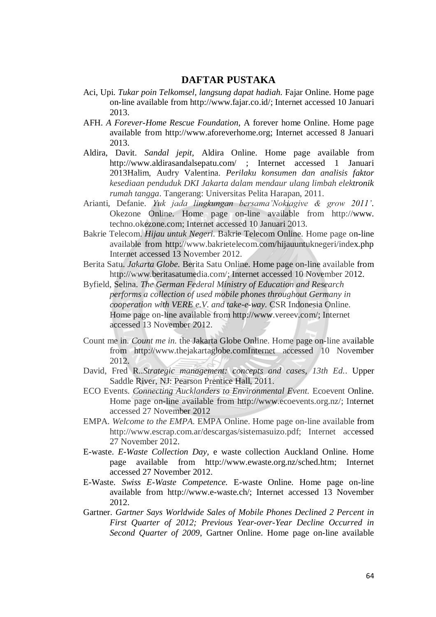## **DAFTAR PUSTAKA**

- Aci, Upi. *Tukar poin Telkomsel, langsung dapat hadiah.* Fajar Online. Home page on-line available from http://www.fajar.co.id/; Internet accessed 10 Januari 2013.
- AFH. *A Forever-Home Rescue Foundation,* A forever home Online. Home page available from http://www.aforeverhome.org; Internet accessed 8 Januari 2013.
- Aldira, Davit. *Sandal jepit,* Aldira Online. Home page available from http://www.aldirasandalsepatu.com/ ; Internet accessed 1 Januari 2013Halim, Audry Valentina. *Perilaku konsumen dan analisis faktor kesediaan penduduk DKI Jakarta dalam mendaur ulang limbah elektronik rumah tangga*. Tangerang: Universitas Pelita Harapan, 2011.
- Arianti, Defanie. *Yuk jada lingkungan bersama'Nokiagive & grow 2011'*. Okezone Online. Home page on-line available from http://www. techno.okezone.com; Internet accessed 10 Januari 2013.
- Bakrie Telecom. *Hijau untuk Negeri.* Bakrie Telecom Online. Home page on-line available from http://www.bakrietelecom.com/hijauuntuknegeri/index.php Internet accessed 13 November 2012.
- Berita Satu. *Jakarta Globe.* Berita Satu Online. Home page on-line available from http://www.beritasatumedia.com/; Internet accessed 10 November 2012.
- Byfield, Selina. *The German Federal Ministry of Education and Research performs a collection of used mobile phones throughout Germany in cooperation with VERE e.V. and take-e-way.* CSR Indonesia Online. Home page on-line available from http://www.vereev.com/; Internet accessed 13 November 2012.
- Count me in. *Count me in.* the Jakarta Globe Online. Home page on-line available from http://www.thejakartaglobe.comInternet accessed 10 November 2012.
- David, Fred R..*Strategic management: concepts and cases, 13th Ed.*. Upper Saddle River, NJ: Pearson Prentice Hall, 2011.
- ECO Events. *Connecting Aucklanders to Environmental Event.* Ecoevent Online. Home page on-line available from http://www.ecoevents.org.nz/; Internet accessed 27 November 2012
- EMPA. *Welcome to the EMPA.* EMPA Online. Home page on-line available from http://www.escrap.com.ar/descargas/sistemasuizo.pdf; Internet accessed 27 November 2012.
- E-waste. *E-Waste Collection Day,* e waste collection Auckland Online. Home page available from http://www.ewaste.org.nz/sched.htm; Internet accessed 27 November 2012.
- E-Waste. *Swiss E-Waste Competence.* E-waste Online. Home page on-line available from http://www.e-waste.ch/; Internet accessed 13 November 2012.
- Gartner. *Gartner Says Worldwide Sales of Mobile Phones Declined 2 Percent in First Quarter of 2012; Previous Year-over-Year Decline Occurred in Second Quarter of 2009*, Gartner Online. Home page on-line available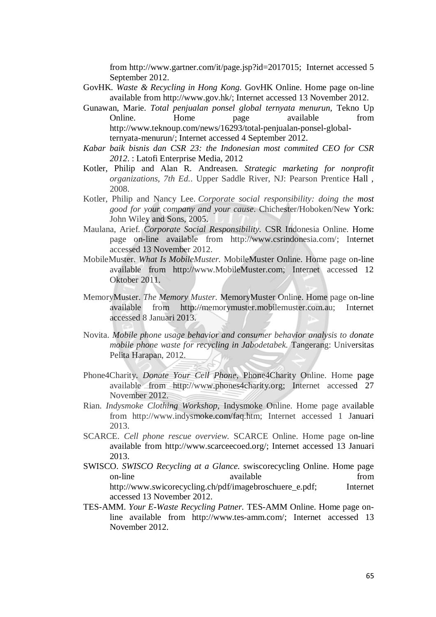from http://www.gartner.com/it/page.jsp?id=2017015; Internet accessed 5 September 2012.

- GovHK. *Waste & Recycling in Hong Kong.* GovHK Online. Home page on-line available from http://www.gov.hk/; Internet accessed 13 November 2012.
- Gunawan, Marie. *Total penjualan ponsel global ternyata menurun,* Tekno Up Online. Home page available from http://www.teknoup.com/news/16293/total-penjualan-ponsel-globalternyata-menurun/; Internet accessed 4 September 2012.
- *Kabar baik bisnis dan CSR 23: the Indonesian most commited CEO for CSR 2012*. : Latofi Enterprise Media, 2012
- Kotler, Philip and Alan R. Andreasen. *Strategic marketing for nonprofit organizations, 7th Ed.*. Upper Saddle River, NJ: Pearson Prentice Hall , 2008.
- Kotler, Philip and Nancy Lee. *Corporate social responsibility: doing the most good for your company and your cause*. Chichester/Hoboken/New York: John Wiley and Sons, 2005.
- Maulana, Arief. *Corporate Social Responsibility.* CSR Indonesia Online. Home page on-line available from http://www.csrindonesia.com/; Internet accessed 13 November 2012.
- MobileMuster. *What Is MobileMuster.* MobileMuster Online. Home page on-line available from http://www.MobileMuster.com; Internet accessed 12 Oktober 2011.
- MemoryMuster. *The Memory Muster.* MemoryMuster Online. Home page on-line available from http://memorymuster.mobilemuster.com.au; Internet accessed 8 Januari 2013.
- Novita. *Mobile phone usage behavior and consumer behavior analysis to donate mobile phone waste for recycling in Jabodetabek.* Tangerang: Universitas Pelita Harapan, 2012.
- Phone4Charity. *Donate Your Cell Phone,* Phone4Charity Online. Home page available from http://www.phones4charity.org; Internet accessed 27 November 2012.
- Rian. *Indysmoke Clothing Workshop,* Indysmoke Online. Home page available from http://www.indysmoke.com/faq.htm; Internet accessed 1 Januari 2013.
- SCARCE. *Cell phone rescue overview.* SCARCE Online. Home page on-line available from http://www.scarceecoed.org/; Internet accessed 13 Januari 2013.
- SWISCO. *SWISCO Recycling at a Glance.* swiscorecycling Online. Home page on-line available from http://www.swicorecycling.ch/pdf/imagebroschuere\_e.pdf; Internet accessed 13 November 2012.
- TES-AMM. *Your E-Waste Recycling Patner.* TES-AMM Online. Home page online available from http://www.tes-amm.com/; Internet accessed 13 November 2012.